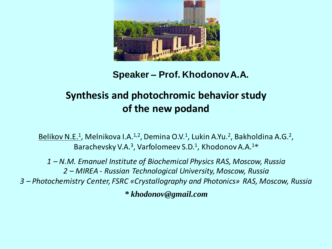

## **Speaker – Prof. KhodonovA.A.**

## **Synthesis and photochromic behavior study of the new podand**

Belikov N.E.<sup>1</sup>, Melnikova I.A.<sup>1,2</sup>, Demina O.V.<sup>1</sup>, Lukin A.Yu.<sup>2</sup>, Bakholdina A.G.<sup>2</sup>, Barachevsky V.A.<sup>3</sup>, Varfolomeev S.D.<sup>1</sup>, Khodonov A.A.<sup>1\*</sup>

*1 – N.M. Emanuel Institute of Biochemical Physics RAS, Moscow, Russia 2 – MIREA - Russian Technological University, Moscow, Russia 3 – Photochemistry Center, FSRC «Crystallography and Photonics» RAS, Moscow, Russia*

*\* khodonov@gmail.com*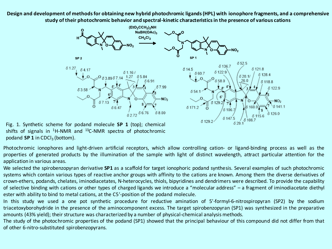**Design and development of methods for obtaining new hybrid photochromic ligands (HPL) with ionophore fragments, and a comprehensive study of their photochromic behavior and spectral-kinetic characteristics in the presence of various cations**



Fig. 1. Synthetic scheme for podand molecule **SP 1** (top); chemical shifts of signals in  ${}^{1}$ H-NMR and  ${}^{13}$ C-NMR spectra of photochromic podand SP 1 in CDCl<sub>3</sub> (bottom).

Photochromic ionophores and light-driven artificial receptors, which allow controlling cation- or ligand-binding process as well as the properties of generated products by the illumination of the sample with light of distinct wavelength, attract particular attention for the application in various areas.

We selected the spirobenzopyran derivative **SP1** as a scaffold for target ionophoric podand synthesis. Several examples of such photochromic systems which contain various types of reactive anchor groups with affinity to the cations are known. Among them the diverse derivatives of crown-ethers, podands, chelates, iminodiacetates, N-heterocycles, thiols, bipyridines and dendrimers were described. To provide the capability of selective binding with cations or other types of charged ligands we introduce a "molecular address" – a fragment of iminodiacetate diethyl ester with ability to bind to metal cations, at the C5*'*-position of the podand molecule.

In this study we used a one pot synthetic procedure for reductive amination of 5'-formyl-6-nitrospiropyran (SP2) by the sodium triacetoxyborohydride in the presence of the aminocomponent excess. The target spirobenzopyran (SP1) was synthesized in the preparative amounts (43% yield); their structure was characterized by a number of physical-chemical analysis methods.

The study of the photochromic properties of the podand (SP1) showed that the principal behaviour of this compound did not differ from that of other 6-nitro-substituted spirobenzopyrans.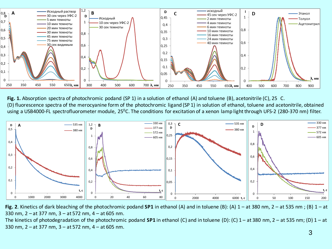

**Fig. 1.** Absorption spectra of photochromic podand (SP 1) in a solution of ethanol (A) and toluene (B), acetonitrile (C), 25 C. (D) fluorescence spectra of the merocyanine form of the photochromic ligand (SP 1) in solution of ethanol, toluene and acetonitrile, obtained using a USB4000-FL spectrofluorometer module, 25<sup>0</sup>C. The conditions for excitation of a xenon lamp light through UFS-2 (280-370 nm) filter.



**Fig. 2**. Kinetics of dark bleaching of the photochromic podand **SP1** in ethanol (A) and in toluene (B): (A) 1 – at 380 nm, 2 – at 535 nm ; (B) 1 – at 330 nm, 2 – at 377 nm, 3 – at 572 nm, 4 – at 605 nm.

The kinetics of photodegradation of the photochromic podand **SP1** in ethanol (C) and in toluene (D): (C) 1 – at 380 nm, 2 – at 535 nm; (D) 1 – at 330 nm, 2 – at 377 nm, 3 – at 572 nm, 4 – at 605 nm.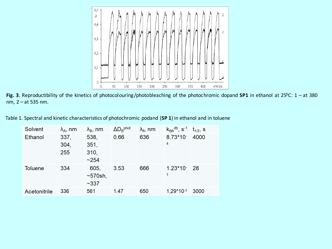

Fig. 3. Reproductibility of the kinetics of photocolouring/photobleaching of the photochromic dopand SP1 in ethanol at 25<sup>0</sup>C: 1 – at 380 nm, 2 – at 535 nm.

Table 1. Spectral and kinetic characteristics of photochromic podand (**SP 1**) in ethanol and in toluene

| Solvent      | $\lambda_A$ , nm    | $\lambda_{\rm B}$ , nm               | $\Delta D_B$ <sup>phot</sup> | $\lambda_{\rm fl}$ , nm | $k_{BA}$ <sup>db</sup> , s <sup>-1</sup> | $t_{1/2}$ , s |
|--------------|---------------------|--------------------------------------|------------------------------|-------------------------|------------------------------------------|---------------|
| Ethanol      | 337,<br>304,<br>255 | 538,<br>351,<br>310,<br>~254         | 0.66                         | 636                     | $8.73*10^{-}$<br>4                       | 4000          |
| Toluene      | 334                 | 605,<br>$\sim$ 570sh,<br>$~1$ $~337$ | 3.53                         | 666                     | $1.23*10-28$<br>1                        |               |
| Acetonitrile | 336                 | 561                                  | 1.47                         | 650                     | $1,29*10^{-3}$                           | 3000          |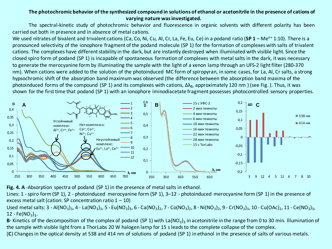## **The photochromic behavior of the synthesized compound in solutions of ethanol or acetonitrile in the presence of cations of varying nature was investigated.**

The spectral-kinetic study of photochromic behavior and fluorescence in organic solvents with different polarity has been carried out both in presence and in absence of metal cations.

We used nitrates of bivalent and trivalent cations (Ca, Co, Ni, Cu, Al, Cr, La, Fe, Eu, Ce) in a podand ratio (SP 1 – Me<sup>n+</sup> 1:10). There is a pronounced selectivity of the ionophore fragment of the podand molecule (SP 1) for the formation of complexes with salts of trivalent cations. The complexes have different stability in the dark, but are instantly destroyed when illuminated with visible light. Since the closed spiro form of podand (SP 1) is incapable of spontaneous formation of complexes with metal salts in the dark, it was necessary to generate the merocyanine form by illuminating the sample with the light of a xenon lamp through an UFS-2 light filter (280-370 nm). When cations were added to the solution of the photoinduced MC form of spiropyran, in some cases, for La, Al, Cr salts, a strong hypsochromic shift of the absorption band maximum was observed (the difference between the absorption band maxima of the photoinduced forms of the compound (SP 1) and its complexes with cations, Δλ<sub>B</sub>, approximately 120 nm) (see Fig.). Thus, it was shown for the first time that podand (SP 1) with an ionophore iminodiacetate fragment possesses photocontrolled sensory properties.



**Fig. 4. A** -Absorption spectra of podand (SP 1) in the presence of metal salts in ethanol.

Lines: 1 -spiro form (SP 1), 2 - photoinduced merocyanine form (SP 1), 3–12 - photoinduced merocyanine form (SP 1) in the presence of excess metal salt (cation: SP concentration ratio  $1 - 10$ )

Used metal salts: 3 - Al(NO<sub>3</sub>)<sub>3</sub>, 4 - La(NO<sub>3</sub>)<sub>3</sub>, 5 - Eu(NO<sub>3</sub>)<sub>3</sub>, 6 - Ca(NO<sub>3</sub>)<sub>2</sub>, 7 - Co(NO<sub>3</sub>)<sub>2</sub>, 8 - Ni(NO<sub>3</sub>)<sub>2</sub>, 9 - Cr(NO<sub>3</sub>)<sub>3</sub>, 10 - Cu(OAc)<sub>2</sub>, 11 - Ce(NO<sub>3</sub>)<sub>3</sub>,  $12 - Fe(NO<sub>3</sub>)<sub>3</sub>$ .

**B**- Kinetics of the decomposition of the complex of podand (SP 1) with La(NO<sub>3</sub>)<sub>3</sub> in acetonitrile in the range from 0 to 30 min. Illumination of the sample with visible light from a ThorLabs 20 W halogen lamp for 15 s leads to the complete collapse of the complex.

(**C**) Changes in the optical density at 538 and 414 nm of solutions of podand (SP 1) in ethanol in the presence of salts of various metals.